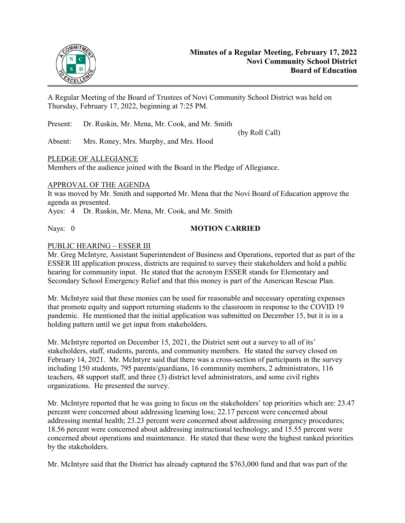

A Regular Meeting of the Board of Trustees of Novi Community School District was held on Thursday, February 17, 2022, beginning at 7:25 PM.

Present: Dr. Ruskin, Mr. Mena, Mr. Cook, and Mr. Smith

(by Roll Call)

Absent: Mrs. Roney, Mrs. Murphy, and Mrs. Hood

# PLEDGE OF ALLEGIANCE

Members of the audience joined with the Board in the Pledge of Allegiance.

### APPROVAL OF THE AGENDA

It was moved by Mr. Smith and supported Mr. Mena that the Novi Board of Education approve the agenda as presented.

Ayes: 4 Dr. Ruskin, Mr. Mena, Mr. Cook, and Mr. Smith

### Nays: 0 **MOTION CARRIED**

# PUBLIC HEARING – ESSER III

Mr. Greg McIntyre, Assistant Superintendent of Business and Operations, reported that as part of the ESSER III application process, districts are required to survey their stakeholders and hold a public hearing for community input. He stated that the acronym ESSER stands for Elementary and Secondary School Emergency Relief and that this money is part of the American Rescue Plan.

Mr. McIntyre said that these monies can be used for reasonable and necessary operating expenses that promote equity and support returning students to the classroom in response to the COVID 19 pandemic. He mentioned that the initial application was submitted on December 15, but it is in a holding pattern until we get input from stakeholders.

Mr. McIntyre reported on December 15, 2021, the District sent out a survey to all of its' stakeholders, staff, students, parents, and community members. He stated the survey closed on February 14, 2021. Mr. McIntyre said that there was a cross-section of participants in the survey including 150 students, 795 parents/guardians, 16 community members, 2 administrators, 116 teachers, 48 support staff, and three (3) district level administrators, and some civil rights organizations. He presented the survey.

Mr. McIntyre reported that he was going to focus on the stakeholders' top priorities which are: 23.47 percent were concerned about addressing learning loss; 22.17 percent were concerned about addressing mental health; 23.23 percent were concerned about addressing emergency procedures; 18.56 percent were concerned about addressing instructional technology; and 15.55 percent were concerned about operations and maintenance. He stated that these were the highest ranked priorities by the stakeholders.

Mr. McIntyre said that the District has already captured the \$763,000 fund and that was part of the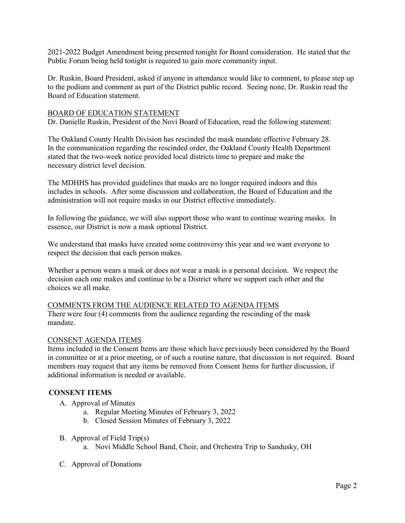2021-2022 Budget Amendment being presented tonight for Board consideration. He stated that the Public Forum being held tonight is required to gain more community input.

Dr. Ruskin, Board President, asked if anyone in attendance would like to comment, to please step up to the podium and comment as part of the District public record. Seeing none, Dr. Ruskin read the Board of Education statement.

#### BOARD OF EDUCATION STATEMENT

Dr. Danielle Ruskin, President of the Novi Board of Education, read the following statement:

The Oakland County Health Division has rescinded the mask mandate effective February 28. In the communication regarding the rescinded order, the Oakland County Health Department stated that the two-week notice provided local districts time to prepare and make the necessary district level decision.

The MDHHS has provided guidelines that masks are no longer required indoors and this includes in schools. After some discussion and collaboration, the Board of Education and the administration will not require masks in our District effective immediately.

In following the guidance, we will also support those who want to continue wearing masks. In essence, our District is now a mask optional District.

We understand that masks have created some controversy this year and we want everyone to respect the decision that each person makes.

Whether a person wears a mask or does not wear a mask is a personal decision. We respect the decision each one makes and continue to be a District where we support each other and the choices we all make.

#### COMMENTS FROM THE AUDIENCE RELATED TO AGENDA ITEMS

There were four (4) comments from the audience regarding the rescinding of the mask mandate.

#### CONSENT AGENDA ITEMS

Items included in the Consent Items are those which have previously been considered by the Board in committee or at a prior meeting, or of such a routine nature, that discussion is not required. Board members may request that any items be removed from Consent Items for further discussion, if additional information is needed or available.

#### **CONSENT ITEMS**

- A. Approval of Minutes
	- a. Regular Meeting Minutes of February 3, 2022
	- b. Closed Session Minutes of February 3, 2022
- B. Approval of Field Trip(s)
	- a. Novi Middle School Band, Choir, and Orchestra Trip to Sandusky, OH
- C. Approval of Donations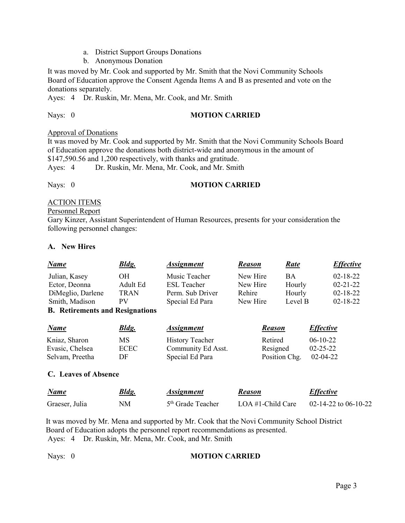- a. District Support Groups Donations
- b. Anonymous Donation

It was moved by Mr. Cook and supported by Mr. Smith that the Novi Community Schools Board of Education approve the Consent Agenda Items A and B as presented and vote on the donations separately.

Ayes: 4 Dr. Ruskin, Mr. Mena, Mr. Cook, and Mr. Smith

#### Nays: 0 **MOTION CARRIED**

Approval of Donations

It was moved by Mr. Cook and supported by Mr. Smith that the Novi Community Schools Board of Education approve the donations both district-wide and anonymous in the amount of \$147,590.56 and 1,200 respectively, with thanks and gratitude.

Ayes: 4 Dr. Ruskin, Mr. Mena, Mr. Cook, and Mr. Smith

### Nays: 0 **MOTION CARRIED**

# ACTION ITEMS

#### Personnel Report

Gary Kinzer, Assistant Superintendent of Human Resources, presents for your consideration the following personnel changes:

# **A. New Hires**

| <b>Bldg.</b> | <b>Assignment</b>                            | <b>Reason</b>                          | Rate      | <b>Effective</b>        |
|--------------|----------------------------------------------|----------------------------------------|-----------|-------------------------|
| <b>OH</b>    | Music Teacher                                | New Hire                               | <b>BA</b> | $02 - 18 - 22$          |
| Adult Ed     | ESL Teacher                                  | New Hire                               | Hourly    | $02 - 21 - 22$          |
| <b>TRAN</b>  | Perm. Sub Driver                             | Rehire                                 | Hourly    | $02 - 18 - 22$          |
| PV           | Special Ed Para                              | New Hire                               | Level B   | $02 - 18 - 22$          |
|              |                                              |                                        |           |                         |
| <b>Bldg.</b> | <b>Assignment</b>                            | <b>Reason</b>                          |           | <i><b>Effective</b></i> |
| <b>MS</b>    |                                              | Retired                                |           | $06-10-22$              |
| <b>ECEC</b>  | <b>History Teacher</b><br>Community Ed Asst. | Resigned                               |           | $02 - 25 - 22$          |
|              |                                              | <b>B.</b> Retirements and Resignations |           |                         |

# **C. Leaves of Absence**

| Name           | <u>Bldg.</u> | <i>Assignment</i>             | <b>Reason</b>        | <b>Effective</b>     |
|----------------|--------------|-------------------------------|----------------------|----------------------|
| Graeser, Julia | NΜ           | 5 <sup>th</sup> Grade Teacher | LOA $#1$ -Child Care | 02-14-22 to 06-10-22 |

 It was moved by Mr. Mena and supported by Mr. Cook that the Novi Community School District Board of Education adopts the personnel report recommendations as presented. Ayes: 4 Dr. Ruskin, Mr. Mena, Mr. Cook, and Mr. Smith

# Nays: 0 **MOTION CARRIED**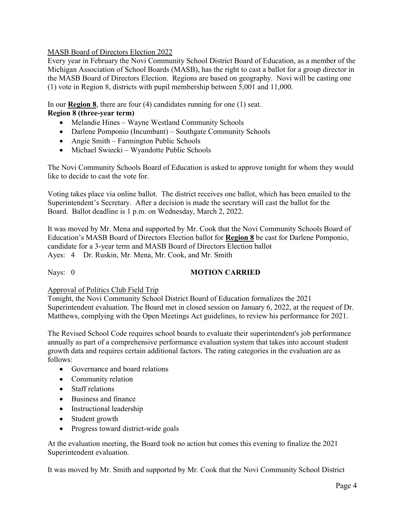# MASB Board of Directors Election 2022

Every year in February the Novi Community School District Board of Education, as a member of the Michigan Association of School Boards (MASB), has the right to cast a ballot for a group director in the MASB Board of Directors Election. Regions are based on geography. Novi will be casting one (1) vote in Region 8, districts with pupil membership between 5,001 and 11,000.

In our **Region 8**, there are four (4) candidates running for one (1) seat. **Region 8 (three-year term)**

- Melandie Hines Wayne Westland Community Schools
- Darlene Pomponio (Incumbant) Southgate Community Schools
- Angie Smith Farmington Public Schools
- Michael Swiecki Wyandotte Public Schools

The Novi Community Schools Board of Education is asked to approve tonight for whom they would like to decide to cast the vote for.

Voting takes place via online ballot. The district receives one ballot, which has been emailed to the Superintendent's Secretary. After a decision is made the secretary will cast the ballot for the Board. Ballot deadline is 1 p.m. on Wednesday, March 2, 2022.

It was moved by Mr. Mena and supported by Mr. Cook that the Novi Community Schools Board of Education's MASB Board of Directors Election ballot for **Region 8** be cast for Darlene Pomponio, candidate for a 3-year term and MASB Board of Directors Election ballot Ayes: 4 Dr. Ruskin, Mr. Mena, Mr. Cook, and Mr. Smith

### Nays: 0 **MOTION CARRIED**

#### Approval of Politics Club Field Trip

Tonight, the Novi Community School District Board of Education formalizes the 2021 Superintendent evaluation. The Board met in closed session on January 6, 2022, at the request of Dr. Matthews, complying with the Open Meetings Act guidelines, to review his performance for 2021.

The Revised School Code requires school boards to evaluate their superintendent's job performance annually as part of a comprehensive performance evaluation system that takes into account student growth data and requires certain additional factors. The rating categories in the evaluation are as follows:

- Governance and board relations
- Community relation
- Staff relations
- Business and finance
- Instructional leadership
- Student growth
- Progress toward district-wide goals

At the evaluation meeting, the Board took no action but comes this evening to finalize the 2021 Superintendent evaluation.

It was moved by Mr. Smith and supported by Mr. Cook that the Novi Community School District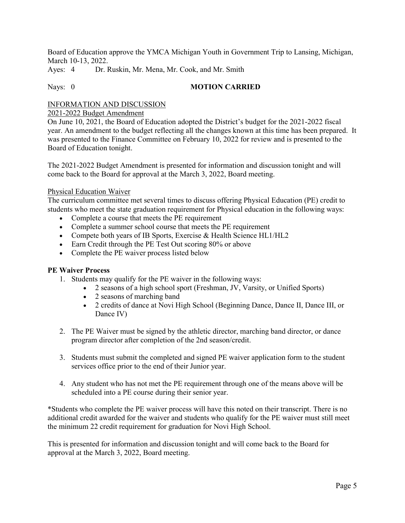Board of Education approve the YMCA Michigan Youth in Government Trip to Lansing, Michigan, March 10-13, 2022.

Ayes: 4 Dr. Ruskin, Mr. Mena, Mr. Cook, and Mr. Smith

# Nays: 0 **MOTION CARRIED**

# INFORMATION AND DISCUSSION

# 2021-2022 Budget Amendment

On June 10, 2021, the Board of Education adopted the District's budget for the 2021-2022 fiscal year. An amendment to the budget reflecting all the changes known at this time has been prepared. It was presented to the Finance Committee on February 10, 2022 for review and is presented to the Board of Education tonight.

The 2021-2022 Budget Amendment is presented for information and discussion tonight and will come back to the Board for approval at the March 3, 2022, Board meeting.

# Physical Education Waiver

The curriculum committee met several times to discuss offering Physical Education (PE) credit to students who meet the state graduation requirement for Physical education in the following ways:

- Complete a course that meets the PE requirement
- Complete a summer school course that meets the PE requirement
- Compete both years of IB Sports, Exercise & Health Science HL1/HL2
- Earn Credit through the PE Test Out scoring 80% or above
- Complete the PE waiver process listed below

# **PE Waiver Process**

- 1. Students may qualify for the PE waiver in the following ways:
	- 2 seasons of a high school sport (Freshman, JV, Varsity, or Unified Sports)
	- 2 seasons of marching band
	- 2 credits of dance at Novi High School (Beginning Dance, Dance II, Dance III, or Dance IV)
- 2. The PE Waiver must be signed by the athletic director, marching band director, or dance program director after completion of the 2nd season/credit.
- 3. Students must submit the completed and signed PE waiver application form to the student services office prior to the end of their Junior year.
- 4. Any student who has not met the PE requirement through one of the means above will be scheduled into a PE course during their senior year.

\*Students who complete the PE waiver process will have this noted on their transcript. There is no additional credit awarded for the waiver and students who qualify for the PE waiver must still meet the minimum 22 credit requirement for graduation for Novi High School.

This is presented for information and discussion tonight and will come back to the Board for approval at the March 3, 2022, Board meeting.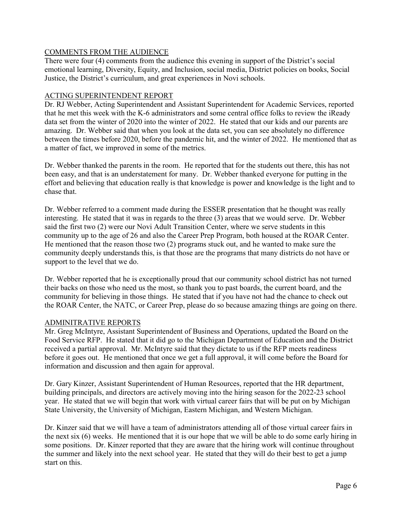# COMMENTS FROM THE AUDIENCE

There were four (4) comments from the audience this evening in support of the District's social emotional learning, Diversity, Equity, and Inclusion, social media, District policies on books, Social Justice, the District's curriculum, and great experiences in Novi schools.

# ACTING SUPERINTENDENT REPORT

Dr. RJ Webber, Acting Superintendent and Assistant Superintendent for Academic Services, reported that he met this week with the K-6 administrators and some central office folks to review the iReady data set from the winter of 2020 into the winter of 2022. He stated that our kids and our parents are amazing. Dr. Webber said that when you look at the data set, you can see absolutely no difference between the times before 2020, before the pandemic hit, and the winter of 2022. He mentioned that as a matter of fact, we improved in some of the metrics.

Dr. Webber thanked the parents in the room. He reported that for the students out there, this has not been easy, and that is an understatement for many. Dr. Webber thanked everyone for putting in the effort and believing that education really is that knowledge is power and knowledge is the light and to chase that.

Dr. Webber referred to a comment made during the ESSER presentation that he thought was really interesting. He stated that it was in regards to the three (3) areas that we would serve. Dr. Webber said the first two (2) were our Novi Adult Transition Center, where we serve students in this community up to the age of 26 and also the Career Prep Program, both housed at the ROAR Center. He mentioned that the reason those two (2) programs stuck out, and he wanted to make sure the community deeply understands this, is that those are the programs that many districts do not have or support to the level that we do.

Dr. Webber reported that he is exceptionally proud that our community school district has not turned their backs on those who need us the most, so thank you to past boards, the current board, and the community for believing in those things. He stated that if you have not had the chance to check out the ROAR Center, the NATC, or Career Prep, please do so because amazing things are going on there.

# ADMINITRATIVE REPORTS

Mr. Greg McIntyre, Assistant Superintendent of Business and Operations, updated the Board on the Food Service RFP. He stated that it did go to the Michigan Department of Education and the District received a partial approval. Mr. McIntyre said that they dictate to us if the RFP meets readiness before it goes out. He mentioned that once we get a full approval, it will come before the Board for information and discussion and then again for approval.

Dr. Gary Kinzer, Assistant Superintendent of Human Resources, reported that the HR department, building principals, and directors are actively moving into the hiring season for the 2022-23 school year. He stated that we will begin that work with virtual career fairs that will be put on by Michigan State University, the University of Michigan, Eastern Michigan, and Western Michigan.

Dr. Kinzer said that we will have a team of administrators attending all of those virtual career fairs in the next six (6) weeks. He mentioned that it is our hope that we will be able to do some early hiring in some positions. Dr. Kinzer reported that they are aware that the hiring work will continue throughout the summer and likely into the next school year. He stated that they will do their best to get a jump start on this.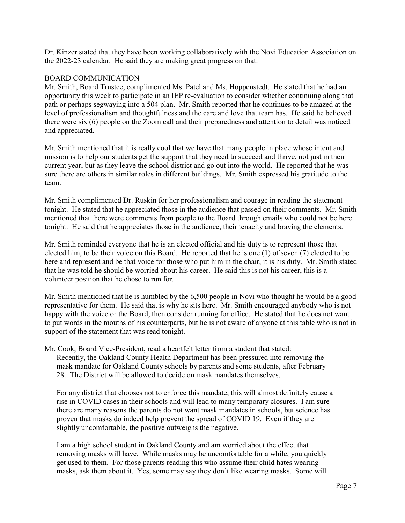Dr. Kinzer stated that they have been working collaboratively with the Novi Education Association on the 2022-23 calendar. He said they are making great progress on that.

#### BOARD COMMUNICATION

Mr. Smith, Board Trustee, complimented Ms. Patel and Ms. Hoppenstedt. He stated that he had an opportunity this week to participate in an IEP re-evaluation to consider whether continuing along that path or perhaps segwaying into a 504 plan. Mr. Smith reported that he continues to be amazed at the level of professionalism and thoughtfulness and the care and love that team has. He said he believed there were six (6) people on the Zoom call and their preparedness and attention to detail was noticed and appreciated.

Mr. Smith mentioned that it is really cool that we have that many people in place whose intent and mission is to help our students get the support that they need to succeed and thrive, not just in their current year, but as they leave the school district and go out into the world. He reported that he was sure there are others in similar roles in different buildings. Mr. Smith expressed his gratitude to the team.

Mr. Smith complimented Dr. Ruskin for her professionalism and courage in reading the statement tonight. He stated that he appreciated those in the audience that passed on their comments. Mr. Smith mentioned that there were comments from people to the Board through emails who could not be here tonight. He said that he appreciates those in the audience, their tenacity and braving the elements.

Mr. Smith reminded everyone that he is an elected official and his duty is to represent those that elected him, to be their voice on this Board. He reported that he is one (1) of seven (7) elected to be here and represent and be that voice for those who put him in the chair, it is his duty. Mr. Smith stated that he was told he should be worried about his career. He said this is not his career, this is a volunteer position that he chose to run for.

Mr. Smith mentioned that he is humbled by the 6,500 people in Novi who thought he would be a good representative for them. He said that is why he sits here. Mr. Smith encouraged anybody who is not happy with the voice or the Board, then consider running for office. He stated that he does not want to put words in the mouths of his counterparts, but he is not aware of anyone at this table who is not in support of the statement that was read tonight.

Mr. Cook, Board Vice-President, read a heartfelt letter from a student that stated: Recently, the Oakland County Health Department has been pressured into removing the mask mandate for Oakland County schools by parents and some students, after February 28. The District will be allowed to decide on mask mandates themselves.

For any district that chooses not to enforce this mandate, this will almost definitely cause a rise in COVID cases in their schools and will lead to many temporary closures. I am sure there are many reasons the parents do not want mask mandates in schools, but science has proven that masks do indeed help prevent the spread of COVID 19. Even if they are slightly uncomfortable, the positive outweighs the negative.

I am a high school student in Oakland County and am worried about the effect that removing masks will have. While masks may be uncomfortable for a while, you quickly get used to them. For those parents reading this who assume their child hates wearing masks, ask them about it. Yes, some may say they don't like wearing masks. Some will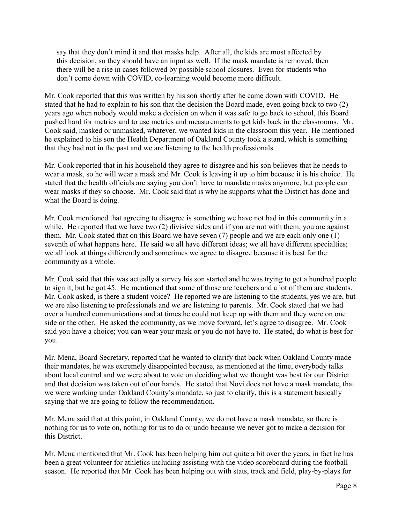say that they don't mind it and that masks help. After all, the kids are most affected by this decision, so they should have an input as well. If the mask mandate is removed, then there will be a rise in cases followed by possible school closures. Even for students who don't come down with COVID, co-learning would become more difficult.

Mr. Cook reported that this was written by his son shortly after he came down with COVID. He stated that he had to explain to his son that the decision the Board made, even going back to two (2) years ago when nobody would make a decision on when it was safe to go back to school, this Board pushed hard for metrics and to use metrics and measurements to get kids back in the classrooms. Mr. Cook said, masked or unmasked, whatever, we wanted kids in the classroom this year. He mentioned he explained to his son the Health Department of Oakland County took a stand, which is something that they had not in the past and we are listening to the health professionals.

Mr. Cook reported that in his household they agree to disagree and his son believes that he needs to wear a mask, so he will wear a mask and Mr. Cook is leaving it up to him because it is his choice. He stated that the health officials are saying you don't have to mandate masks anymore, but people can wear masks if they so choose. Mr. Cook said that is why he supports what the District has done and what the Board is doing.

Mr. Cook mentioned that agreeing to disagree is something we have not had in this community in a while. He reported that we have two (2) divisive sides and if you are not with them, you are against them. Mr. Cook stated that on this Board we have seven (7) people and we are each only one (1) seventh of what happens here. He said we all have different ideas; we all have different specialties; we all look at things differently and sometimes we agree to disagree because it is best for the community as a whole.

Mr. Cook said that this was actually a survey his son started and he was trying to get a hundred people to sign it, but he got 45. He mentioned that some of those are teachers and a lot of them are students. Mr. Cook asked, is there a student voice? He reported we are listening to the students, yes we are, but we are also listening to professionals and we are listening to parents. Mr. Cook stated that we had over a hundred communications and at times he could not keep up with them and they were on one side or the other. He asked the community, as we move forward, let's agree to disagree. Mr. Cook said you have a choice; you can wear your mask or you do not have to. He stated, do what is best for you.

Mr. Mena, Board Secretary, reported that he wanted to clarify that back when Oakland County made their mandates, he was extremely disappointed because, as mentioned at the time, everybody talks about local control and we were about to vote on deciding what we thought was best for our District and that decision was taken out of our hands. He stated that Novi does not have a mask mandate, that we were working under Oakland County's mandate, so just to clarify, this is a statement basically saying that we are going to follow the recommendation.

Mr. Mena said that at this point, in Oakland County, we do not have a mask mandate, so there is nothing for us to vote on, nothing for us to do or undo because we never got to make a decision for this District.

Mr. Mena mentioned that Mr. Cook has been helping him out quite a bit over the years, in fact he has been a great volunteer for athletics including assisting with the video scoreboard during the football season. He reported that Mr. Cook has been helping out with stats, track and field, play-by-plays for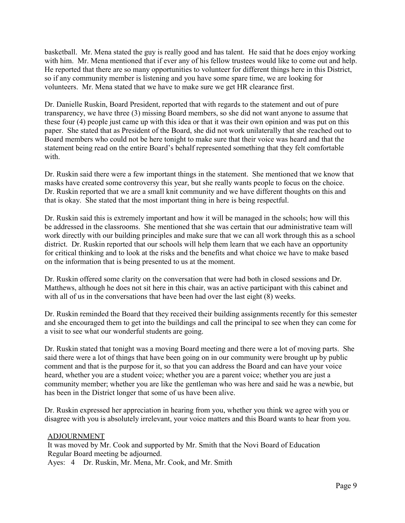basketball. Mr. Mena stated the guy is really good and has talent. He said that he does enjoy working with him. Mr. Mena mentioned that if ever any of his fellow trustees would like to come out and help. He reported that there are so many opportunities to volunteer for different things here in this District, so if any community member is listening and you have some spare time, we are looking for volunteers. Mr. Mena stated that we have to make sure we get HR clearance first.

Dr. Danielle Ruskin, Board President, reported that with regards to the statement and out of pure transparency, we have three (3) missing Board members, so she did not want anyone to assume that these four (4) people just came up with this idea or that it was their own opinion and was put on this paper. She stated that as President of the Board, she did not work unilaterally that she reached out to Board members who could not be here tonight to make sure that their voice was heard and that the statement being read on the entire Board's behalf represented something that they felt comfortable with.

Dr. Ruskin said there were a few important things in the statement. She mentioned that we know that masks have created some controversy this year, but she really wants people to focus on the choice. Dr. Ruskin reported that we are a small knit community and we have different thoughts on this and that is okay. She stated that the most important thing in here is being respectful.

Dr. Ruskin said this is extremely important and how it will be managed in the schools; how will this be addressed in the classrooms. She mentioned that she was certain that our administrative team will work directly with our building principles and make sure that we can all work through this as a school district. Dr. Ruskin reported that our schools will help them learn that we each have an opportunity for critical thinking and to look at the risks and the benefits and what choice we have to make based on the information that is being presented to us at the moment.

Dr. Ruskin offered some clarity on the conversation that were had both in closed sessions and Dr. Matthews, although he does not sit here in this chair, was an active participant with this cabinet and with all of us in the conversations that have been had over the last eight (8) weeks.

Dr. Ruskin reminded the Board that they received their building assignments recently for this semester and she encouraged them to get into the buildings and call the principal to see when they can come for a visit to see what our wonderful students are going.

Dr. Ruskin stated that tonight was a moving Board meeting and there were a lot of moving parts. She said there were a lot of things that have been going on in our community were brought up by public comment and that is the purpose for it, so that you can address the Board and can have your voice heard, whether you are a student voice; whether you are a parent voice; whether you are just a community member; whether you are like the gentleman who was here and said he was a newbie, but has been in the District longer that some of us have been alive.

Dr. Ruskin expressed her appreciation in hearing from you, whether you think we agree with you or disagree with you is absolutely irrelevant, your voice matters and this Board wants to hear from you.

#### ADJOURNMENT

It was moved by Mr. Cook and supported by Mr. Smith that the Novi Board of Education Regular Board meeting be adjourned.

Ayes: 4 Dr. Ruskin, Mr. Mena, Mr. Cook, and Mr. Smith